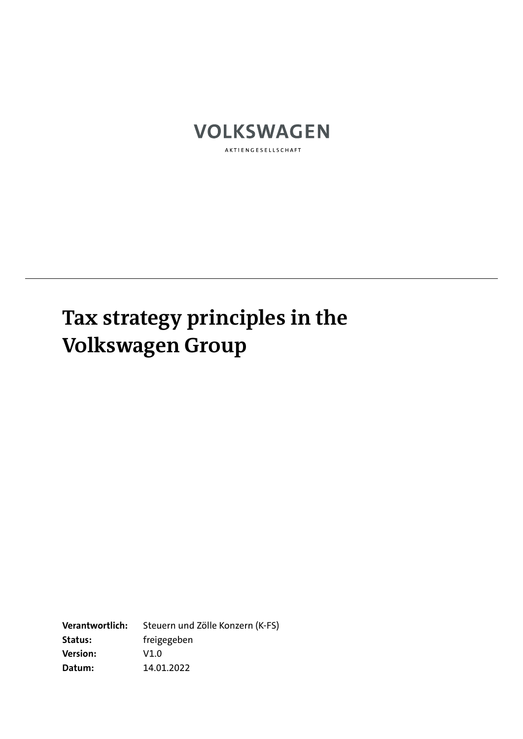

AKTIENGESELLSCHAFT

## **Tax strategy principles in the Volkswagen Group**

**Verantwortlich:** Steuern und Zölle Konzern (K-FS) **Status:** freigegeben **Version:** V1.0 **Datum:** 14.01.2022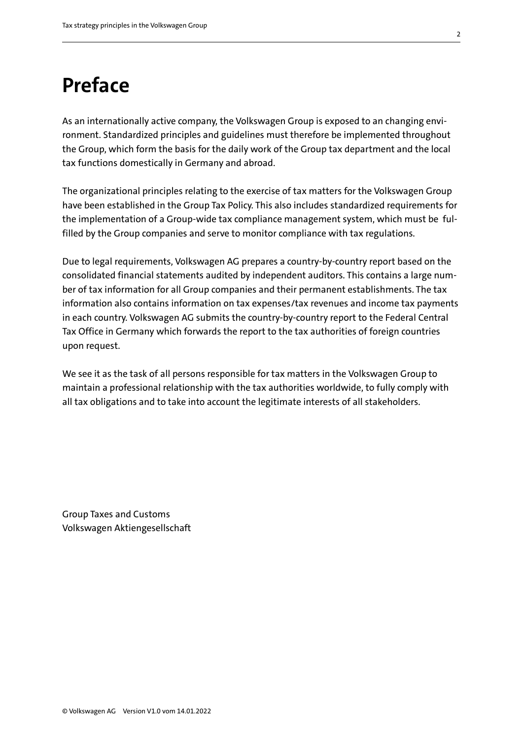## **Preface**

As an internationally active company, the Volkswagen Group is exposed to an changing environment. Standardized principles and guidelines must therefore be implemented throughout the Group, which form the basis for the daily work of the Group tax department and the local tax functions domestically in Germany and abroad.

The organizational principles relating to the exercise of tax matters for the Volkswagen Group have been established in the Group Tax Policy. This also includes standardized requirements for the implementation of a Group-wide tax compliance management system, which must be fulfilled by the Group companies and serve to monitor compliance with tax regulations.

Due to legal requirements, Volkswagen AG prepares a country-by-country report based on the consolidated financial statements audited by independent auditors. This contains a large number of tax information for all Group companies and their permanent establishments. The tax information also contains information on tax expenses/tax revenues and income tax payments in each country. Volkswagen AG submits the country-by-country report to the Federal Central Tax Office in Germany which forwards the report to the tax authorities of foreign countries upon request.

We see it as the task of all persons responsible for tax matters in the Volkswagen Group to maintain a professional relationship with the tax authorities worldwide, to fully comply with all tax obligations and to take into account the legitimate interests of all stakeholders.

Group Taxes and Customs Volkswagen Aktiengesellschaft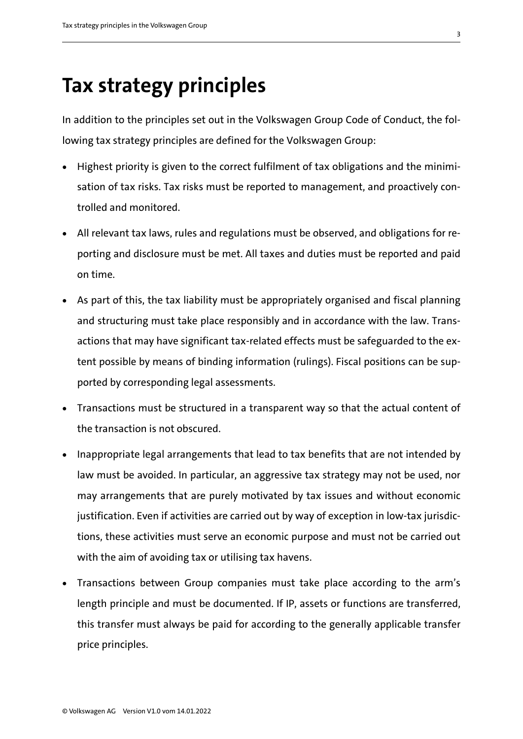## **Tax strategy principles**

In addition to the principles set out in the Volkswagen Group Code of Conduct, the following tax strategy principles are defined for the Volkswagen Group:

- Highest priority is given to the correct fulfilment of tax obligations and the minimisation of tax risks. Tax risks must be reported to management, and proactively controlled and monitored.
- All relevant tax laws, rules and regulations must be observed, and obligations for reporting and disclosure must be met. All taxes and duties must be reported and paid on time.
- As part of this, the tax liability must be appropriately organised and fiscal planning and structuring must take place responsibly and in accordance with the law. Transactions that may have significant tax-related effects must be safeguarded to the extent possible by means of binding information (rulings). Fiscal positions can be supported by corresponding legal assessments.
- Transactions must be structured in a transparent way so that the actual content of the transaction is not obscured.
- Inappropriate legal arrangements that lead to tax benefits that are not intended by law must be avoided. In particular, an aggressive tax strategy may not be used, nor may arrangements that are purely motivated by tax issues and without economic justification. Even if activities are carried out by way of exception in low-tax jurisdictions, these activities must serve an economic purpose and must not be carried out with the aim of avoiding tax or utilising tax havens.
- Transactions between Group companies must take place according to the arm's length principle and must be documented. If IP, assets or functions are transferred, this transfer must always be paid for according to the generally applicable transfer price principles.